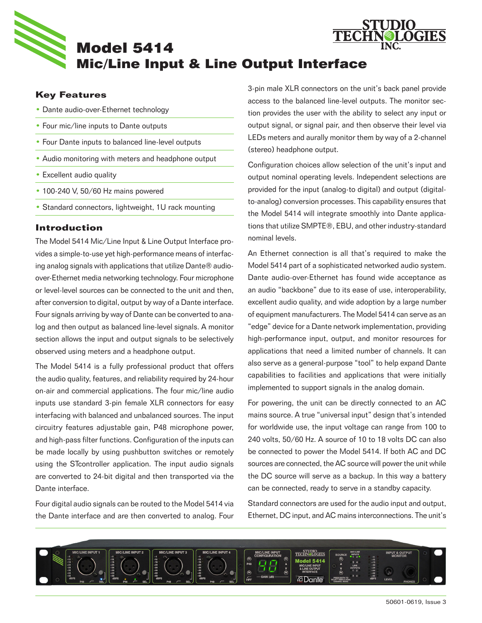

# **Key Features**

- Dante audio-over-Ethernet technology
- Four mic/line inputs to Dante outputs
- Four Dante inputs to balanced line-level outputs
- Audio monitoring with meters and headphone output
- Excellent audio quality
- 100-240 V, 50/60 Hz mains powered
- Standard connectors, lightweight, 1U rack mounting

### **Introduction**

The Model 5414 Mic/Line Input & Line Output Interface provides a simple-to-use yet high-performance means of interfacing analog signals with applications that utilize Dante® audioover-Ethernet media networking technology. Four microphone or level-level sources can be connected to the unit and then, after conversion to digital, output by way of a Dante interface. Four signals arriving by way of Dante can be converted to analog and then output as balanced line-level signals. A monitor section allows the input and output signals to be selectively observed using meters and a headphone output.

The Model 5414 is a fully professional product that offers the audio quality, features, and reliability required by 24-hour on-air and commercial applications. The four mic/line audio inputs use standard 3-pin female XLR connectors for easy interfacing with balanced and unbalanced sources. The input circuitry features adjustable gain, P48 microphone power, and high-pass filter functions. Configuration of the inputs can be made locally by using pushbutton switches or remotely using the STcontroller application. The input audio signals are converted to 24-bit digital and then transported via the Dante interface.

Four digital audio signals can be routed to the Model 5414 via the Dante interface and are then converted to analog. Four 3-pin male XLR connectors on the unit's back panel provide access to the balanced line-level outputs. The monitor section provides the user with the ability to select any input or output signal, or signal pair, and then observe their level via LEDs meters and aurally monitor them by way of a 2-channel (stereo) headphone output.

**OGIES** 

Configuration choices allow selection of the unit's input and output nominal operating levels. Independent selections are provided for the input (analog-to digital) and output (digitalto-analog) conversion processes. This capability ensures that the Model 5414 will integrate smoothly into Dante applications that utilize SMPTE®, EBU, and other industry-standard nominal levels.

An Ethernet connection is all that's required to make the Model 5414 part of a sophisticated networked audio system. Dante audio-over-Ethernet has found wide acceptance as an audio "backbone" due to its ease of use, interoperability, excellent audio quality, and wide adoption by a large number of equipment manufacturers. The Model 5414 can serve as an "edge" device for a Dante network implementation, providing high-performance input, output, and monitor resources for applications that need a limited number of channels. It can also serve as a general-purpose "tool" to help expand Dante capabilities to facilities and applications that were initially implemented to support signals in the analog domain.

For powering, the unit can be directly connected to an AC mains source. A true "universal input" design that's intended for worldwide use, the input voltage can range from 100 to 240 volts, 50/60 Hz. A source of 10 to 18 volts DC can also be connected to power the Model 5414. If both AC and DC sources are connected, the AC source will power the unit while the DC source will serve as a backup. In this way a battery can be connected, ready to serve in a standby capacity.

Standard connectors are used for the audio input and output, Ethernet, DC input, and AC mains interconnections. The unit's

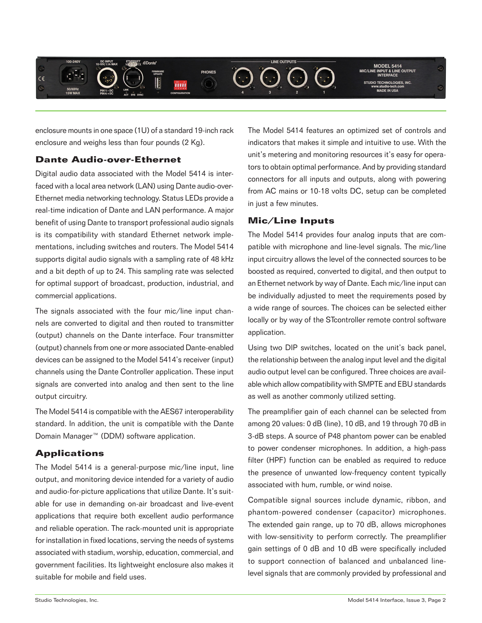

enclosure mounts in one space (1U) of a standard 19-inch rack enclosure and weighs less than four pounds (2 Kg).

## **Dante Audio-over-Ethernet**

Digital audio data associated with the Model 5414 is interfaced with a local area network (LAN) using Dante audio-over-Ethernet media networking technology. Status LEDs provide a real-time indication of Dante and LAN performance. A major benefit of using Dante to transport professional audio signals is its compatibility with standard Ethernet network implementations, including switches and routers. The Model 5414 supports digital audio signals with a sampling rate of 48 kHz and a bit depth of up to 24. This sampling rate was selected for optimal support of broadcast, production, industrial, and commercial applications.

The signals associated with the four mic/line input channels are converted to digital and then routed to transmitter (output) channels on the Dante interface. Four transmitter (output) channels from one or more associated Dante-enabled devices can be assigned to the Model 5414's receiver (input) channels using the Dante Controller application. These input signals are converted into analog and then sent to the line output circuitry.

The Model 5414 is compatible with the AES67 interoperability standard. In addition, the unit is compatible with the Dante Domain Manager™ (DDM) software application.

# **Applications**

The Model 5414 is a general-purpose mic/line input, line output, and monitoring device intended for a variety of audio and audio-for-picture applications that utilize Dante. It's suitable for use in demanding on-air broadcast and live-event applications that require both excellent audio performance and reliable operation. The rack-mounted unit is appropriate for installation in fixed locations, serving the needs of systems associated with stadium, worship, education, commercial, and government facilities. Its lightweight enclosure also makes it suitable for mobile and field uses.

The Model 5414 features an optimized set of controls and indicators that makes it simple and intuitive to use. With the unit's metering and monitoring resources it's easy for operators to obtain optimal performance. And by providing standard connectors for all inputs and outputs, along with powering from AC mains or 10-18 volts DC, setup can be completed in just a few minutes.

# **Mic/Line Inputs**

The Model 5414 provides four analog inputs that are compatible with microphone and line-level signals. The mic/line input circuitry allows the level of the connected sources to be boosted as required, converted to digital, and then output to an Ethernet network by way of Dante. Each mic/line input can be individually adjusted to meet the requirements posed by a wide range of sources. The choices can be selected either locally or by way of the STcontroller remote control software application.

Using two DIP switches, located on the unit's back panel, the relationship between the analog input level and the digital audio output level can be configured. Three choices are available which allow compatibility with SMPTE and EBU standards as well as another commonly utilized setting.

The preamplifier gain of each channel can be selected from among 20 values: 0 dB (line), 10 dB, and 19 through 70 dB in 3-dB steps. A source of P48 phantom power can be enabled to power condenser microphones. In addition, a high-pass filter (HPF) function can be enabled as required to reduce the presence of unwanted low-frequency content typically associated with hum, rumble, or wind noise.

Compatible signal sources include dynamic, ribbon, and phantom-powered condenser (capacitor) microphones. The extended gain range, up to 70 dB, allows microphones with low-sensitivity to perform correctly. The preamplifier gain settings of 0 dB and 10 dB were specifically included to support connection of balanced and unbalanced linelevel signals that are commonly provided by professional and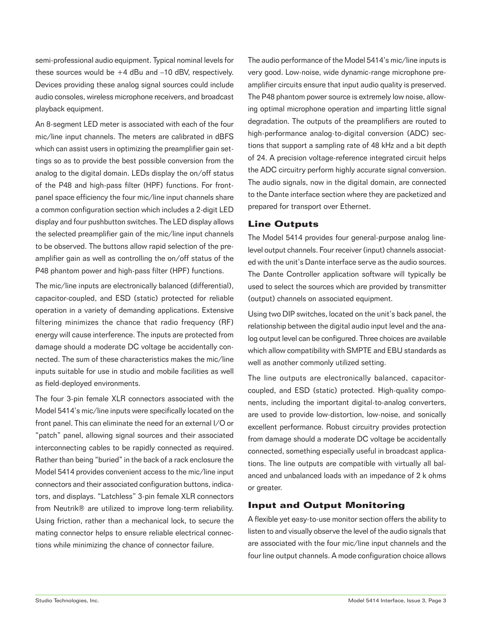semi-professional audio equipment. Typical nominal levels for these sources would be +4 dBu and –10 dBV, respectively. Devices providing these analog signal sources could include audio consoles, wireless microphone receivers, and broadcast playback equipment.

An 8-segment LED meter is associated with each of the four mic/line input channels. The meters are calibrated in dBFS which can assist users in optimizing the preamplifier gain settings so as to provide the best possible conversion from the analog to the digital domain. LEDs display the on/off status of the P48 and high-pass filter (HPF) functions. For frontpanel space efficiency the four mic/line input channels share a common configuration section which includes a 2-digit LED display and four pushbutton switches. The LED display allows the selected preamplifier gain of the mic/line input channels to be observed. The buttons allow rapid selection of the preamplifier gain as well as controlling the on/off status of the P48 phantom power and high-pass filter (HPF) functions.

The mic/line inputs are electronically balanced (differential), capacitor-coupled, and ESD (static) protected for reliable operation in a variety of demanding applications. Extensive filtering minimizes the chance that radio frequency (RF) energy will cause interference. The inputs are protected from damage should a moderate DC voltage be accidentally connected. The sum of these characteristics makes the mic/line inputs suitable for use in studio and mobile facilities as well as field-deployed environments.

The four 3-pin female XLR connectors associated with the Model 5414's mic/line inputs were specifically located on the front panel. This can eliminate the need for an external I/O or "patch" panel, allowing signal sources and their associated interconnecting cables to be rapidly connected as required. Rather than being "buried" in the back of a rack enclosure the Model 5414 provides convenient access to the mic/line input connectors and their associated configuration buttons, indicators, and displays. "Latchless" 3-pin female XLR connectors from Neutrik® are utilized to improve long-term reliability. Using friction, rather than a mechanical lock, to secure the mating connector helps to ensure reliable electrical connections while minimizing the chance of connector failure.

The audio performance of the Model 5414's mic/line inputs is very good. Low-noise, wide dynamic-range microphone preamplifier circuits ensure that input audio quality is preserved. The P48 phantom power source is extremely low noise, allowing optimal microphone operation and imparting little signal degradation. The outputs of the preamplifiers are routed to high-performance analog-to-digital conversion (ADC) sections that support a sampling rate of 48 kHz and a bit depth of 24. A precision voltage-reference integrated circuit helps the ADC circuitry perform highly accurate signal conversion. The audio signals, now in the digital domain, are connected to the Dante interface section where they are packetized and prepared for transport over Ethernet.

### **Line Outputs**

The Model 5414 provides four general-purpose analog linelevel output channels. Four receiver (input) channels associated with the unit's Dante interface serve as the audio sources. The Dante Controller application software will typically be used to select the sources which are provided by transmitter (output) channels on associated equipment.

Using two DIP switches, located on the unit's back panel, the relationship between the digital audio input level and the analog output level can be configured. Three choices are available which allow compatibility with SMPTE and EBU standards as well as another commonly utilized setting.

The line outputs are electronically balanced, capacitorcoupled, and ESD (static) protected. High-quality components, including the important digital-to-analog converters, are used to provide low-distortion, low-noise, and sonically excellent performance. Robust circuitry provides protection from damage should a moderate DC voltage be accidentally connected, something especially useful in broadcast applications. The line outputs are compatible with virtually all balanced and unbalanced loads with an impedance of 2 k ohms or greater.

## **Input and Output Monitoring**

A flexible yet easy-to-use monitor section offers the ability to listen to and visually observe the level of the audio signals that are associated with the four mic/line input channels and the four line output channels. A mode configuration choice allows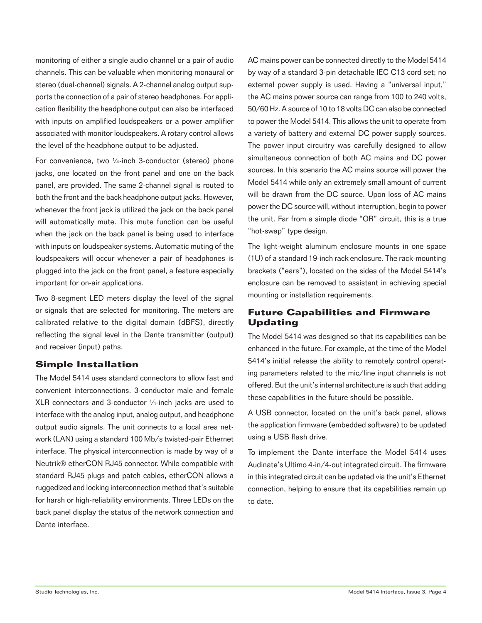monitoring of either a single audio channel or a pair of audio channels. This can be valuable when monitoring monaural or stereo (dual-channel) signals. A 2-channel analog output supports the connection of a pair of stereo headphones. For application flexibility the headphone output can also be interfaced with inputs on amplified loudspeakers or a power amplifier associated with monitor loudspeakers. A rotary control allows the level of the headphone output to be adjusted.

For convenience, two ¼-inch 3-conductor (stereo) phone jacks, one located on the front panel and one on the back panel, are provided. The same 2-channel signal is routed to both the front and the back headphone output jacks. However, whenever the front jack is utilized the jack on the back panel will automatically mute. This mute function can be useful when the jack on the back panel is being used to interface with inputs on loudspeaker systems. Automatic muting of the loudspeakers will occur whenever a pair of headphones is plugged into the jack on the front panel, a feature especially important for on-air applications.

Two 8-segment LED meters display the level of the signal or signals that are selected for monitoring. The meters are calibrated relative to the digital domain (dBFS), directly reflecting the signal level in the Dante transmitter (output) and receiver (input) paths.

## **Simple Installation**

The Model 5414 uses standard connectors to allow fast and convenient interconnections. 3-conductor male and female XLR connectors and 3-conductor ¼-inch jacks are used to interface with the analog input, analog output, and headphone output audio signals. The unit connects to a local area network (LAN) using a standard 100 Mb/s twisted-pair Ethernet interface. The physical interconnection is made by way of a Neutrik® etherCON RJ45 connector. While compatible with standard RJ45 plugs and patch cables, etherCON allows a ruggedized and locking interconnection method that's suitable for harsh or high-reliability environments. Three LEDs on the back panel display the status of the network connection and Dante interface.

AC mains power can be connected directly to the Model 5414 by way of a standard 3-pin detachable IEC C13 cord set; no external power supply is used. Having a "universal input," the AC mains power source can range from 100 to 240 volts, 50/60 Hz. A source of 10 to 18 volts DC can also be connected to power the Model 5414. This allows the unit to operate from a variety of battery and external DC power supply sources. The power input circuitry was carefully designed to allow simultaneous connection of both AC mains and DC power sources. In this scenario the AC mains source will power the Model 5414 while only an extremely small amount of current will be drawn from the DC source. Upon loss of AC mains power the DC source will, without interruption, begin to power the unit. Far from a simple diode "OR" circuit, this is a true "hot-swap" type design.

The light-weight aluminum enclosure mounts in one space (1U) of a standard 19-inch rack enclosure. The rack-mounting brackets ("ears"), located on the sides of the Model 5414's enclosure can be removed to assistant in achieving special mounting or installation requirements.

# **Future Capabilities and Firmware Updating**

The Model 5414 was designed so that its capabilities can be enhanced in the future. For example, at the time of the Model 5414's initial release the ability to remotely control operating parameters related to the mic/line input channels is not offered. But the unit's internal architecture is such that adding these capabilities in the future should be possible.

A USB connector, located on the unit's back panel, allows the application firmware (embedded software) to be updated using a USB flash drive.

To implement the Dante interface the Model 5414 uses Audinate's Ultimo 4-in/4-out integrated circuit. The firmware in this integrated circuit can be updated via the unit's Ethernet connection, helping to ensure that its capabilities remain up to date.